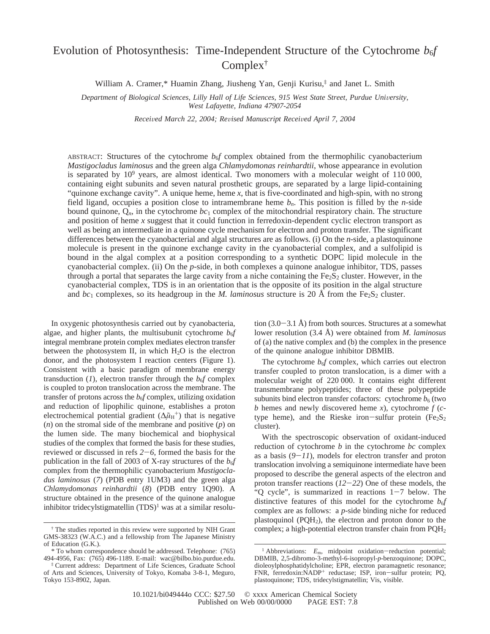# Evolution of Photosynthesis: Time-Independent Structure of the Cytochrome  $b_6f$ Complex†

William A. Cramer,\* Huamin Zhang, Jiusheng Yan, Genji Kurisu,‡ and Janet L. Smith

*Department of Biological Sciences, Lilly Hall of Life Sciences, 915 West State Street, Purdue University, West Lafayette, Indiana 47907-2054*

*Recei*V*ed March 22, 2004; Re*V*ised Manuscript Recei*V*ed April 7, 2004*

ABSTRACT: Structures of the cytochrome  $b<sub>6</sub>f$  complex obtained from the thermophilic cyanobacterium *Mastigocladus laminosus* and the green alga *Chlamydomonas reinhardtii*, whose appearance in evolution is separated by  $10<sup>9</sup>$  years, are almost identical. Two monomers with a molecular weight of 110 000, containing eight subunits and seven natural prosthetic groups, are separated by a large lipid-containing "quinone exchange cavity". A unique heme, heme *x*, that is five-coordinated and high-spin, with no strong field ligand, occupies a position close to intramembrane heme *bn*. This position is filled by the *n*-side bound quinone, Q*n*, in the cytochrome *bc*<sup>1</sup> complex of the mitochondrial respiratory chain. The structure and position of heme *x* suggest that it could function in ferredoxin-dependent cyclic electron transport as well as being an intermediate in a quinone cycle mechanism for electron and proton transfer. The significant differences between the cyanobacterial and algal structures are as follows. (i) On the *n*-side, a plastoquinone molecule is present in the quinone exchange cavity in the cyanobacterial complex, and a sulfolipid is bound in the algal complex at a position corresponding to a synthetic DOPC lipid molecule in the cyanobacterial complex. (ii) On the *p*-side, in both complexes a quinone analogue inhibitor, TDS, passes through a portal that separates the large cavity from a niche containing the  $Fe<sub>2</sub>S<sub>2</sub>$  cluster. However, in the cyanobacterial complex, TDS is in an orientation that is the opposite of its position in the algal structure and  $bc_1$  complexes, so its headgroup in the *M. laminosus* structure is 20 Å from the Fe<sub>2</sub>S<sub>2</sub> cluster.

In oxygenic photosynthesis carried out by cyanobacteria, algae, and higher plants, the multisubunit cytochrome  $b<sub>6</sub>f$ integral membrane protein complex mediates electron transfer between the photosystem II, in which  $H_2O$  is the electron donor, and the photosystem I reaction centers (Figure 1). Consistent with a basic paradigm of membrane energy transduction  $(I)$ , electron transfer through the  $b_6f$  complex is coupled to proton translocation across the membrane. The transfer of protons across the  $b<sub>6</sub>f$  complex, utilizing oxidation and reduction of lipophilic quinone, establishes a proton electrochemical potential gradient ( $\Delta \tilde{\mu}_{\text{H}}^{+}$ ) that is negative (*n*) on the stromal side of the membrane and positive (*p*) on the lumen side. The many biochemical and biophysical studies of the complex that formed the basis for these studies, reviewed or discussed in refs *<sup>2</sup>*-*6*, formed the basis for the publication in the fall of 2003 of X-ray structures of the  $b_6f$ complex from the thermophilic cyanobacterium *Mastigocladus laminosus* (*7*) (PDB entry 1UM3) and the green alga *Chlamydomonas reinhardtii* (*8*) (PDB entry 1Q90). A structure obtained in the presence of the quinone analogue inhibitor tridecylstigmatellin  $(TDS)^1$  was at a similar resolution  $(3.0-3.1 \text{ Å})$  from both sources. Structures at a somewhat lower resolution (3.4 Å) were obtained from *M. laminosus* of (a) the native complex and (b) the complex in the presence of the quinone analogue inhibitor DBMIB.

The cytochrome  $b_{6}f$  complex, which carries out electron transfer coupled to proton translocation, is a dimer with a molecular weight of 220 000. It contains eight different transmembrane polypeptides; three of these polypeptide subunits bind electron transfer cofactors: cytochrome  $b<sub>6</sub>$  (two *b* hemes and newly discovered heme *x*), cytochrome *f* (*c*type heme), and the Rieske iron-sulfur protein  $(Fe<sub>2</sub>S<sub>2</sub>)$ cluster).

With the spectroscopic observation of oxidant-induced reduction of cytochrome *b* in the cytochrome *bc* complex as a basis  $(9-11)$ , models for electron transfer and proton translocation involving a semiquinone intermediate have been proposed to describe the general aspects of the electron and proton transfer reactions (*12*-*22*) One of these models, the "O cycle", is summarized in reactions  $1-7$  below. The distinctive features of this model for the cytochrome  $b<sub>6</sub>f$ complex are as follows: a *p*-side binding niche for reduced plastoquinol (PQH2), the electron and proton donor to the <sup> $\dagger$ </sup> The studies reported in this review were supported by NIH Grant complex; a high-potential electron transfer chain from PQH<sub>2</sub>

GMS-38323 (W.A.C.) and a fellowship from The Japanese Ministry of Education (G.K.).

<sup>\*</sup> To whom correspondence should be addressed. Telephone: (765) 494-4956, Fax: (765) 496-1189. E-mail: wac@bilbo.bio.purdue.edu.

<sup>‡</sup> Current address: Department of Life Sciences, Graduate School of Arts and Sciences, University of Tokyo, Komaba 3-8-1, Meguro, Tokyo 153-8902, Japan.

<sup>&</sup>lt;sup>1</sup> Abbreviations:  $E_m$ , midpoint oxidation-reduction potential; DBMIB, 2,5-dibromo-3-methyl-6-isopropyl-*p*-benzoquinone; DOPC, dioleoylphosphatidylcholine; EPR, electron paramagnetic resonance; FNR, ferredoxin:NADP<sup>+</sup> reductase; ISP, iron-sulfur protein; PQ, plastoquinone; TDS, tridecylstigmatellin; Vis, visible.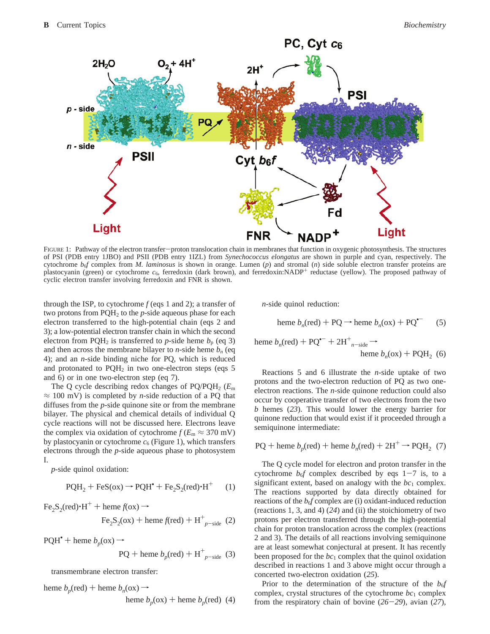

FIGURE 1: Pathway of the electron transfer-proton translocation chain in membranes that function in oxygenic photosynthesis. The structures of PSI (PDB entry 1JBO) and PSII (PDB entry 1IZL) from *Synechococcus elongatus* are shown in purple and cyan, respectively. The cytochrome *b*6*f* complex from *M. laminosus* is shown in orange. Lumen (*p*) and stromal (*n*) side soluble electron transfer proteins are plastocyanin (green) or cytochrome  $c_6$ , ferredoxin (dark brown), and ferredoxin:NADP<sup>+</sup> reductase (yellow). The proposed pathway of cyclic electron transfer involving ferredoxin and FNR is shown.

through the ISP, to cytochrome  $f$  (eqs 1 and 2); a transfer of two protons from PQH2 to the *p*-side aqueous phase for each electron transferred to the high-potential chain (eqs 2 and 3); a low-potential electron transfer chain in which the second electron from PQH<sub>2</sub> is transferred to *p*-side heme  $b_p$  (eq 3) and then across the membrane bilayer to *n*-side heme  $b_n$  (eq. 4); and an *n*-side binding niche for PQ, which is reduced and protonated to  $PQH_2$  in two one-electron steps (eqs 5 and 6) or in one two-electron step (eq 7).

The Q cycle describing redox changes of  $PQ/PQH_2$  ( $E_m$ ) ≈ 100 mV) is completed by *n*-side reduction of a PQ that diffuses from the *p*-side quinone site or from the membrane bilayer. The physical and chemical details of individual Q cycle reactions will not be discussed here. Electrons leave the complex via oxidation of cytochrome  $f(E_m \approx 370 \text{ mV})$ by plastocyanin or cytochrome  $c_6$  (Figure 1), which transfers electrons through the *p*-side aqueous phase to photosystem I.

*p*-side quinol oxidation:

$$
PQH_2 + FeS(ox) \rightarrow PQH^* + Fe_2S_2(\text{red}) \cdot H^+ \qquad (1)
$$

Fe<sub>2</sub>S<sub>2</sub>(red)
$$
\cdot
$$
H<sup>+</sup> + heme  $f(\text{ox}) \rightarrow$   
Fe<sub>2</sub>S<sub>2</sub>(ox) + heme  $f(\text{red})$  + H<sup>+</sup><sub>p-side</sub> (2)

 $PQH^{\bullet}$  + heme  $b_p(\text{ox})$  -

$$
PQ + \text{heme } b_p(\text{red}) + H^+_{p-\text{side}} \text{ (3)}
$$

transmembrane electron transfer:

heme 
$$
b_p(\text{red})
$$
 + heme  $b_n(\text{ox}) \rightarrow$   
heme  $b_p(\text{ox})$  + heme  $b_p(\text{red})$  (4)

*n*-side quinol reduction:

heme 
$$
b_n(\text{red}) + PQ \rightarrow \text{heme } b_n(\text{ox}) + PQ^{\bullet -}
$$
 (5)

heme 
$$
b_n(\text{red}) + \text{PQ}^{\bullet-} + 2\text{H}^+_{n-\text{side}} \rightarrow
$$
  
heme  $b_n(\text{ox}) + \text{PQH}_2$  (6)

Reactions 5 and 6 illustrate the *n*-side uptake of two protons and the two-electron reduction of PQ as two oneelectron reactions. The *n*-side quinone reduction could also occur by cooperative transfer of two electrons from the two *b* hemes (*23*). This would lower the energy barrier for quinone reduction that would exist if it proceeded through a semiquinone intermediate:

$$
PQ + \text{heme } b_p(\text{red}) + \text{heme } b_n(\text{red}) + 2H^+ \rightarrow PQH_2 \tag{7}
$$

The Q cycle model for electron and proton transfer in the cytochrome  $b_6f$  complex described by eqs  $1-7$  is, to a significant extent, based on analogy with the  $bc_1$  complex. The reactions supported by data directly obtained for reactions of the  $b_6f$  complex are (i) oxidant-induced reduction (reactions 1, 3, and 4) (*24*) and (ii) the stoichiometry of two protons per electron transferred through the high-potential chain for proton translocation across the complex (reactions 2 and 3). The details of all reactions involving semiquinone are at least somewhat conjectural at present. It has recently been proposed for the *bc*<sup>1</sup> complex that the quinol oxidation described in reactions 1 and 3 above might occur through a concerted two-electron oxidation (*25*).

Prior to the determination of the structure of the  $b_6f$ complex, crystal structures of the cytochrome  $bc_1$  complex from the respiratory chain of bovine (*26*-*29*), avian (*27*),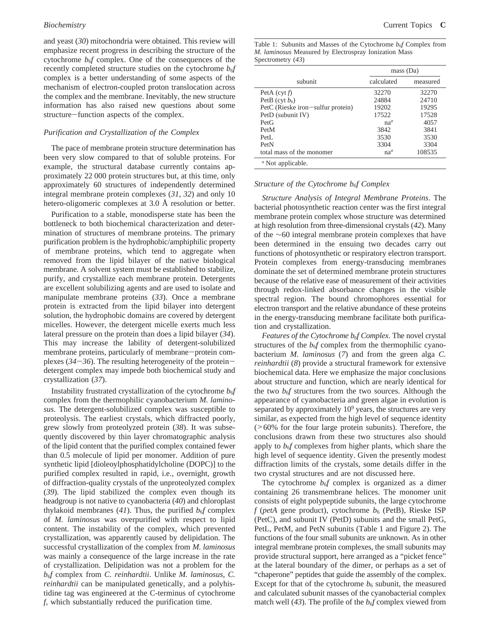and yeast (*30*) mitochondria were obtained. This review will emphasize recent progress in describing the structure of the cytochrome  $b_{\text{6}}f$  complex. One of the consequences of the recently completed structure studies on the cytochrome  $b_6f$ complex is a better understanding of some aspects of the mechanism of electron-coupled proton translocation across the complex and the membrane. Inevitably, the new structure information has also raised new questions about some structure-function aspects of the complex.

# *Purification and Crystallization of the Complex*

The pace of membrane protein structure determination has been very slow compared to that of soluble proteins. For example, the structural database currently contains approximately 22 000 protein structures but, at this time, only approximately 60 structures of independently determined integral membrane protein complexes (*31*, *32*) and only 10 hetero-oligomeric complexes at 3.0 Å resolution or better.

Purification to a stable, monodisperse state has been the bottleneck to both biochemical characterization and determination of structures of membrane proteins. The primary purification problem is the hydrophobic/amphiphilic property of membrane proteins, which tend to aggregate when removed from the lipid bilayer of the native biological membrane. A solvent system must be established to stabilize, purify, and crystallize each membrane protein. Detergents are excellent solubilizing agents and are used to isolate and manipulate membrane proteins (*33*). Once a membrane protein is extracted from the lipid bilayer into detergent solution, the hydrophobic domains are covered by detergent micelles. However, the detergent micelle exerts much less lateral pressure on the protein than does a lipid bilayer (*34*). This may increase the lability of detergent-solubilized membrane proteins, particularly of membrane-protein complexes  $(34-36)$ . The resulting heterogeneity of the proteindetergent complex may impede both biochemical study and crystallization (*37*).

Instability frustrated crystallization of the cytochrome  $b_6f$ complex from the thermophilic cyanobacterium *M. laminosus*. The detergent-solubilized complex was susceptible to proteolysis. The earliest crystals, which diffracted poorly, grew slowly from proteolyzed protein (*38*). It was subsequently discovered by thin layer chromatographic analysis of the lipid content that the purified complex contained fewer than 0.5 molecule of lipid per monomer. Addition of pure synthetic lipid [dioleoylphosphatidylcholine (DOPC)] to the purified complex resulted in rapid, i.e., overnight, growth of diffraction-quality crystals of the unproteolyzed complex (*39*). The lipid stabilized the complex even though its headgroup is not native to cyanobacteria (*40*) and chloroplast thylakoid membranes  $(41)$ . Thus, the purified  $b<sub>6</sub>f$  complex of *M. laminosus* was overpurified with respect to lipid content. The instability of the complex, which prevented crystallization, was apparently caused by delipidation. The successful crystallization of the complex from *M. laminosus* was mainly a consequence of the large increase in the rate of crystallization. Delipidation was not a problem for the *b*6*f* complex from *C. reinhardtii*. Unlike *M. laminosus*, *C. reinhardtii* can be manipulated genetically, and a polyhistidine tag was engineered at the C-terminus of cytochrome *f*, which substantially reduced the purification time.

Table 1: Subunits and Masses of the Cytochrome  $b_{6}f$  Complex from *M. laminosus* Measured by Electrospray Ionization Mass Spectrometry (*43*)

|                                   | mass (Da)  |          |
|-----------------------------------|------------|----------|
| subunit                           | calculated | measured |
| PetA $(cyt f)$                    | 32270      | 32270    |
| PetB (cyt $b_6$ )                 | 24884      | 24710    |
| PetC (Rieske iron-sulfur protein) | 19202      | 19295    |
| PetD (subunit IV)                 | 17522      | 17528    |
| PetG                              | $na^a$     | 4057     |
| PetM                              | 3842       | 3841     |
| PetL                              | 3530       | 3530     |
| PetN                              | 3304       | 3304     |
| total mass of the monomer         | $na^a$     | 108535   |
| $\alpha$ Not applicable.          |            |          |

#### *Structure of the Cytochrome b6f Complex*

*Structure Analysis of Integral Membrane Proteins*. The bacterial photosynthetic reaction center was the first integral membrane protein complex whose structure was determined at high resolution from three-dimensional crystals (*42*). Many of the ∼60 integral membrane protein complexes that have been determined in the ensuing two decades carry out functions of photosynthetic or respiratory electron transport. Protein complexes from energy-transducing membranes dominate the set of determined membrane protein structures because of the relative ease of measurement of their activities through redox-linked absorbance changes in the visible spectral region. The bound chromophores essential for electron transport and the relative abundance of these proteins in the energy-transducing membrane facilitate both purification and crystallization.

*Features of the Cytochrome b<sub>6</sub>f Complex*. The novel crystal structures of the  $b<sub>6</sub>f$  complex from the thermophilic cyanobacterium *M. laminosus* (*7*) and from the green alga *C. reinhardtii* (*8*) provide a structural framework for extensive biochemical data. Here we emphasize the major conclusions about structure and function, which are nearly identical for the two  $b_6f$  structures from the two sources. Although the appearance of cyanobacteria and green algae in evolution is separated by approximately  $10<sup>9</sup>$  years, the structures are very similar, as expected from the high level of sequence identity (>60% for the four large protein subunits). Therefore, the conclusions drawn from these two structures also should apply to  $b_{6}f$  complexes from higher plants, which share the high level of sequence identity. Given the presently modest diffraction limits of the crystals, some details differ in the two crystal structures and are not discussed here.

The cytochrome  $b_{6}f$  complex is organized as a dimer containing 26 transmembrane helices. The monomer unit consists of eight polypeptide subunits, the large cytochrome *f* (*petA* gene product), cytochrome *b*<sup>6</sup> (PetB), Rieske ISP (PetC), and subunit IV (PetD) subunits and the small PetG, PetL, PetM, and PetN subunits (Table 1 and Figure 2). The functions of the four small subunits are unknown. As in other integral membrane protein complexes, the small subunits may provide structural support, here arranged as a "picket fence" at the lateral boundary of the dimer, or perhaps as a set of "chaperone" peptides that guide the assembly of the complex. Except for that of the cytochrome  $b<sub>6</sub>$  subunit, the measured and calculated subunit masses of the cyanobacterial complex match well  $(43)$ . The profile of the  $b<sub>6</sub>f$  complex viewed from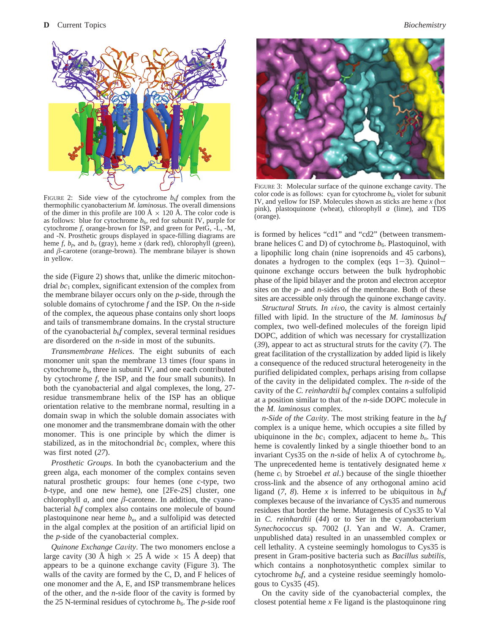

FIGURE 2: Side view of the cytochrome  $b<sub>6</sub>f$  complex from the thermophilic cyanobacterium *M. laminosus*. The overall dimensions of the dimer in this profile are 100  $\AA \times 120$  Å. The color code is as follows: blue for cytochrome  $b_6$ , red for subunit IV, purple for cytochrome *f*, orange-brown for ISP, and green for PetG, -L, -M, and -N. Prosthetic groups displayed in space-filling diagrams are heme *f*,  $b_p$ , and  $b_n$  (gray), heme *x* (dark red), chlorophyll (green), and  $\beta$ -carotene (orange-brown). The membrane bilayer is shown in yellow.

the side (Figure 2) shows that, unlike the dimeric mitochondrial *bc*<sup>1</sup> complex, significant extension of the complex from the membrane bilayer occurs only on the *p*-side, through the soluble domains of cytochrome *f* and the ISP. On the *n*-side of the complex, the aqueous phase contains only short loops and tails of transmembrane domains. In the crystal structure of the cyanobacterial  $b_{6}f$  complex, several terminal residues are disordered on the *n*-side in most of the subunits.

*Transmembrane Helices*. The eight subunits of each monomer unit span the membrane 13 times (four spans in cytochrome  $b_6$ , three in subunit IV, and one each contributed by cytochrome *f*, the ISP, and the four small subunits). In both the cyanobacterial and algal complexes, the long, 27 residue transmembrane helix of the ISP has an oblique orientation relative to the membrane normal, resulting in a domain swap in which the soluble domain associates with one monomer and the transmembrane domain with the other monomer. This is one principle by which the dimer is stabilized, as in the mitochondrial  $bc_1$  complex, where this was first noted (*27*).

*Prosthetic Groups*. In both the cyanobacterium and the green alga, each monomer of the complex contains seven natural prosthetic groups: four hemes (one *c*-type, two *b*-type, and one new heme), one [2Fe-2S] cluster, one chlorophyll *a*, and one  $\beta$ -carotene. In addition, the cyanobacterial  $b_{6}f$  complex also contains one molecule of bound plastoquinone near heme  $b_n$ , and a sulfolipid was detected in the algal complex at the position of an artificial lipid on the *p*-side of the cyanobacterial complex.

*Quinone Exchange Cavity*. The two monomers enclose a large cavity (30 Å high  $\times$  25 Å wide  $\times$  15 Å deep) that appears to be a quinone exchange cavity (Figure 3). The walls of the cavity are formed by the C, D, and F helices of one monomer and the A, E, and ISP transmembrane helices of the other, and the *n*-side floor of the cavity is formed by the 25 N-terminal residues of cytochrome  $b<sub>6</sub>$ . The *p*-side roof



FIGURE 3: Molecular surface of the quinone exchange cavity. The color code is as follows: cyan for cytochrome  $b<sub>6</sub>$ , violet for subunit IV, and yellow for ISP. Molecules shown as sticks are heme *x* (hot pink), plastoquinone (wheat), chlorophyll *a* (lime), and TDS (orange).

is formed by helices "cd1" and "cd2" (between transmembrane helices C and D) of cytochrome  $b<sub>6</sub>$ . Plastoquinol, with a lipophilic long chain (nine isoprenoids and 45 carbons), donates a hydrogen to the complex (eqs  $1-3$ ). Quinolquinone exchange occurs between the bulk hydrophobic phase of the lipid bilayer and the proton and electron acceptor sites on the *p*- and *n*-sides of the membrane. Both of these sites are accessible only through the quinone exchange cavity.

*Structural Struts. In vivo*, the cavity is almost certainly filled with lipid. In the structure of the *M. laminosus*  $b_6 f$ complex, two well-defined molecules of the foreign lipid DOPC, addition of which was necessary for crystallization (*39*), appear to act as structural struts for the cavity (*7*). The great facilitation of the crystallization by added lipid is likely a consequence of the reduced structural heterogeneity in the purified delipidated complex, perhaps arising from collapse of the cavity in the delipidated complex. The *n*-side of the cavity of the *C. reinhardtii b*<sub>6</sub>*f* complex contains a sulfolipid at a position similar to that of the *n*-side DOPC molecule in the *M. laminosus* complex.

*n*-Side of the Cavity. The most striking feature in the  $b_6f$ complex is a unique heme, which occupies a site filled by ubiquinone in the  $bc_1$  complex, adjacent to heme  $b_n$ . This heme is covalently linked by a single thioether bond to an invariant Cys35 on the *n*-side of helix A of cytochrome  $b_6$ . The unprecedented heme is tentatively designated heme *x* (heme *c*<sup>i</sup> by Stroebel *et al*.) because of the single thioether cross-link and the absence of any orthogonal amino acid ligand (*7*, *8*). Heme *x* is inferred to be ubiquitous in  $b<sub>6</sub>f$ complexes because of the invariance of Cys35 and numerous residues that border the heme. Mutagenesis of Cys35 to Val in *C. reinhardtii* (*44*) or to Ser in the cyanobacterium *Synechococcus* sp. 7002 (J. Yan and W. A. Cramer, unpublished data) resulted in an unassembled complex or cell lethality. A cysteine seemingly homologus to Cys35 is present in Gram-positive bacteria such as *Bacillus subtilis*, which contains a nonphotosynthetic complex similar to cytochrome  $b_{6}f$ , and a cysteine residue seemingly homologous to Cys35 (*45*).

On the cavity side of the cyanobacterial complex, the closest potential heme *x* Fe ligand is the plastoquinone ring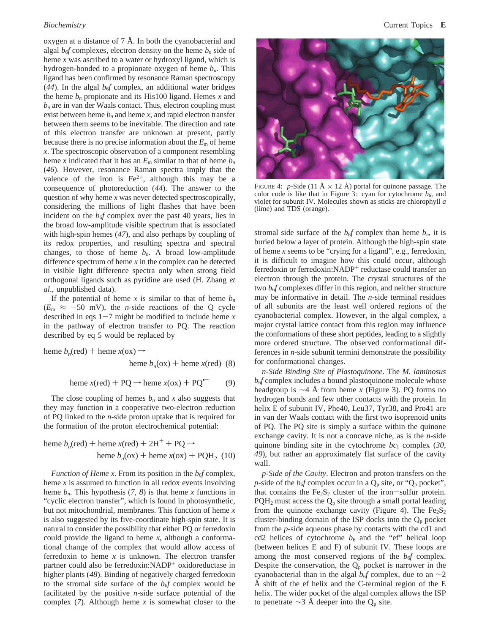oxygen at a distance of  $7 \text{ Å}$ . In both the cyanobacterial and algal  $b<sub>6</sub>f$  complexes, electron density on the heme  $b<sub>n</sub>$  side of heme *x* was ascribed to a water or hydroxyl ligand, which is hydrogen-bonded to a propionate oxygen of heme *bn*. This ligand has been confirmed by resonance Raman spectroscopy  $(44)$ . In the algal  $b<sub>6</sub>f$  complex, an additional water bridges the heme  $b_n$  propionate and its His100 ligand. Hemes  $x$  and *bn* are in van der Waals contact. Thus, electron coupling must exist between heme  $b_n$  and heme  $x$ , and rapid electron transfer between them seems to be inevitable. The direction and rate of this electron transfer are unknown at present, partly because there is no precise information about the  $E<sub>m</sub>$  of heme *x*. The spectroscopic observation of a component resembling heme *x* indicated that it has an  $E_m$  similar to that of heme  $b_n$ (*46*). However, resonance Raman spectra imply that the valence of the iron is  $Fe^{2+}$ , although this may be a consequence of photoreduction (*44*). The answer to the question of why heme *x* was never detected spectroscopically, considering the millions of light flashes that have been incident on the  $b<sub>6</sub>f$  complex over the past 40 years, lies in the broad low-amplitude visible spectrum that is associated with high-spin hemes (*47*), and also perhaps by coupling of its redox properties, and resulting spectra and spectral changes, to those of heme  $b_n$ . A broad low-amplitude difference spectrum of heme *x* in the complex can be detected in visible light difference spectra only when strong field orthogonal ligands such as pyridine are used (H. Zhang *et al*., unpublished data).

If the potential of heme  $x$  is similar to that of heme  $b_n$  $(E_m \approx -50$  mV), the *n*-side reactions of the Q cycle described in eqs  $1-7$  might be modified to include heme  $x$ in the pathway of electron transfer to PQ. The reaction described by eq 5 would be replaced by

heme  $b_n$ (red) + heme  $x$ (ox)  $\rightarrow$ heme  $b_n(\text{ox})$  + heme *x*(red) (8)

heme 
$$
x(\text{red}) + PQ \rightarrow \text{heme } x(\text{ox}) + PQ^{\bullet -}
$$
 (9)

The close coupling of hemes  $b_n$  and x also suggests that they may function in a cooperative two-electron reduction of PQ linked to the *n*-side proton uptake that is required for the formation of the proton electrochemical potential:

heme 
$$
b_n
$$
(red) + heme  $x$ (red) +  $2H^+ + PQ \rightarrow$   
heme  $b_n$ (ox) + heme  $x$ (ox) +  $PQH_2$  (10)

*Function of Heme x*. From its position in the  $b_6f$  complex, heme *x* is assumed to function in all redox events involving heme  $b_n$ . This hypothesis (7, 8) is that heme *x* functions in "cyclic electron transfer", which is found in photosynthetic, but not mitochondrial, membranes. This function of heme *x* is also suggested by its five-coordinate high-spin state. It is natural to consider the possibility that either PQ or ferredoxin could provide the ligand to heme *x*, although a conformational change of the complex that would allow access of ferredoxin to heme *x* is unknown. The electron transfer partner could also be ferredoxin:NADP<sup>+</sup> oxidoreductase in higher plants (*48*). Binding of negatively charged ferredoxin to the stromal side surface of the  $b<sub>6</sub>f$  complex would be facilitated by the positive *n*-side surface potential of the complex (*7*). Although heme *x* is somewhat closer to the



FIGURE 4: *p*-Side (11 Å  $\times$  12 Å) portal for quinone passage. The color code is like that in Figure 3: cyan for cytochrome  $b<sub>6</sub>$ , and violet for subunit IV. Molecules shown as sticks are chlorophyll *a* (lime) and TDS (orange).

stromal side surface of the  $b<sub>6</sub>f$  complex than heme  $b<sub>n</sub>$ , it is buried below a layer of protein. Although the high-spin state of heme *x* seems to be "crying for a ligand", e.g., ferredoxin, it is difficult to imagine how this could occur, although ferredoxin or ferredoxin:NADP<sup>+</sup> reductase could transfer an electron through the protein. The crystal structures of the two  $b_6f$  complexes differ in this region, and neither structure may be informative in detail. The *n*-side terminal residues of all subunits are the least well ordered regions of the cyanobacterial complex. However, in the algal complex, a major crystal lattice contact from this region may influence the conformations of these short peptides, leading to a slightly more ordered structure. The observed conformational differences in *n*-side subunit termini demonstrate the possibility for conformational changes.

*n-Side Binding Site of Plastoquinone*. The *M. laminosus*  $b<sub>6</sub>f$  complex includes a bound plastoquinone molecule whose headgroup is ∼4 Å from heme *x* (Figure 3). PQ forms no hydrogen bonds and few other contacts with the protein. In helix E of subunit IV, Phe40, Leu37, Tyr38, and Pro41 are in van der Waals contact with the first two isoprenoid units of PQ. The PQ site is simply a surface within the quinone exchange cavity. It is not a concave niche, as is the *n*-side quinone binding site in the cytochrome *bc*<sup>1</sup> complex (*30*, *49*), but rather an approximately flat surface of the cavity wall.

*p*-Side of the Cavity. Electron and proton transfers on the *p*-side of the  $b_6f$  complex occur in a  $Q_p$  site, or " $Q_p$  pocket", that contains the  $Fe<sub>2</sub>S<sub>2</sub>$  cluster of the iron-sulfur protein.  $PQH_2$  must access the  $Q_p$  site through a small portal leading from the quinone exchange cavity (Figure 4). The  $Fe<sub>2</sub>S<sub>2</sub>$ cluster-binding domain of the ISP docks into the  $Q_p$  pocket from the *p*-side aqueous phase by contacts with the cd1 and cd2 helices of cytochrome  $b<sub>6</sub>$  and the "ef" helical loop (between helices E and F) of subunit IV. These loops are among the most conserved regions of the  $b<sub>6</sub>f$  complex. Despite the conservation, the  $Q_p$  pocket is narrower in the cyanobacterial than in the algal  $b_6f$  complex, due to an  $\sim$ 2 Å shift of the ef helix and the C-terminal region of the E helix. The wider pocket of the algal complex allows the ISP to penetrate  $\sim$ 3 Å deeper into the Q<sub>p</sub> site.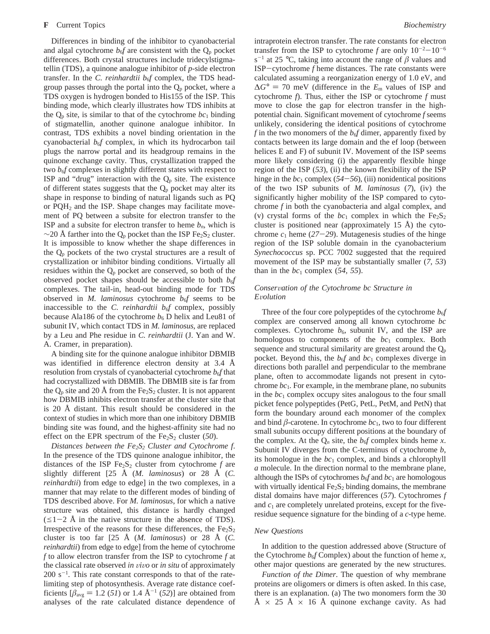Differences in binding of the inhibitor to cyanobacterial and algal cytochrome  $b_{6}f$  are consistent with the  $Q_{p}$  pocket differences. Both crystal structures include tridecylstigmatellin (TDS), a quinone analogue inhibitor of *p*-side electron transfer. In the *C. reinhardtii*  $b<sub>6</sub>f$  complex, the TDS headgroup passes through the portal into the  $Q_p$  pocket, where a TDS oxygen is hydrogen bonded to His155 of the ISP. This binding mode, which clearly illustrates how TDS inhibits at the  $Q_p$  site, is similar to that of the cytochrome  $bc_1$  binding of stigmatellin, another quinone analogue inhibitor. In contrast, TDS exhibits a novel binding orientation in the cyanobacterial  $b_{6}f$  complex, in which its hydrocarbon tail plugs the narrow portal and its headgroup remains in the quinone exchange cavity. Thus, crystallization trapped the two  $b_6f$  complexes in slightly different states with respect to ISP and "drug" interaction with the  $Q_p$  site. The existence of different states suggests that the  $Q_p$  pocket may alter its shape in response to binding of natural ligands such as PQ or PQH2 and the ISP. Shape changes may facilitate movement of PQ between a subsite for electron transfer to the ISP and a subsite for electron transfer to heme  $b_n$ , which is  $\sim$ 20 Å farther into the Q<sub>p</sub> pocket than the ISP Fe<sub>2</sub>S<sub>2</sub> cluster. It is impossible to know whether the shape differences in the  $Q_p$  pockets of the two crystal structures are a result of crystallization or inhibitor binding conditions. Virtually all residues within the  $Q_p$  pocket are conserved, so both of the observed pocket shapes should be accessible to both  $b<sub>6</sub>f$ complexes. The tail-in, head-out binding mode for TDS observed in  $M$ . *laminosus* cytochrome  $b<sub>6</sub>f$  seems to be inaccessible to the *C. reinhardtii*  $b<sub>6</sub>f$  complex, possibly because Ala186 of the cytochrome  $b_6$  D helix and Leu81 of subunit IV, which contact TDS in *M. laminosus*, are replaced by a Leu and Phe residue in *C. reinhardtii* (J. Yan and W. A. Cramer, in preparation).

A binding site for the quinone analogue inhibitor DBMIB was identified in difference electron density at 3.4 Å resolution from crystals of cyanobacterial cytochrome  $b<sub>6</sub>f$  that had cocrystallized with DBMIB. The DBMIB site is far from the  $Q_p$  site and 20 Å from the Fe<sub>2</sub>S<sub>2</sub> cluster. It is not apparent how DBMIB inhibits electron transfer at the cluster site that is 20 Å distant. This result should be considered in the context of studies in which more than one inhibitory DBMIB binding site was found, and the highest-affinity site had no effect on the EPR spectrum of the  $Fe<sub>2</sub>S<sub>2</sub>$  cluster (50).

*Distances between the Fe<sub>2</sub>S<sub>2</sub> Cluster and Cytochrome f.* In the presence of the TDS quinone analogue inhibitor, the distances of the ISP  $Fe<sub>2</sub>S<sub>2</sub>$  cluster from cytochrome  $f$  are slightly different [25 Å (*M. laminosus*) or 28 Å (*C. reinhardtii*) from edge to edge] in the two complexes, in a manner that may relate to the different modes of binding of TDS described above. For *M. laminosus*, for which a native structure was obtained, this distance is hardly changed  $(\leq 1-2)$  Å in the native structure in the absence of TDS). Irrespective of the reasons for these differences, the  $Fe<sub>2</sub>S<sub>2</sub>$ cluster is too far [25 Å (*M. laminosus*) or 28 Å (*C. reinhardtii*) from edge to edge] from the heme of cytochrome *f* to allow electron transfer from the ISP to cytochrome *f* at the classical rate observed *in vivo* or *in situ* of approximately  $200 \text{ s}^{-1}$ . This rate constant corresponds to that of the ratelimiting step of photosynthesis. Average rate distance coefficients  $\beta_{\text{avg}} = 1.2$  (51) or 1.4 Å<sup>-1</sup> (52)] are obtained from analyses of the rate calculated distance dependence of

intraprotein electron transfer. The rate constants for electron transfer from the ISP to cytochrome *f* are only  $10^{-2} - 10^{-6}$ <br>s<sup>-1</sup> at 25 °C taking into account the range of *β* values and  $s^{-1}$  at 25 °C, taking into account the range of  $\beta$  values and ISP-cytochrome *<sup>f</sup>* heme distances. The rate constants were calculated assuming a reorganization energy of 1.0 eV, and  $\Delta G^{\circ}$  = 70 meV (difference in the  $E_{\rm m}$  values of ISP and cytochrome *f*). Thus, either the ISP or cytochrome *f* must move to close the gap for electron transfer in the highpotential chain. Significant movement of cytochrome *f* seems unlikely, considering the identical positions of cytochrome *f* in the two monomers of the  $b<sub>6</sub>f$  dimer, apparently fixed by contacts between its large domain and the ef loop (between helices E and F) of subunit IV. Movement of the ISP seems more likely considering (i) the apparently flexible hinge region of the ISP (*53*), (ii) the known flexibility of the ISP hinge in the  $bc_1$  complex ( $54-56$ ), (iii) nonidentical positions of the two ISP subunits of *M. laminosus* (*7*), (iv) the significantly higher mobility of the ISP compared to cytochrome *f* in both the cyanobacteria and algal complex, and (v) crystal forms of the  $bc_1$  complex in which the  $Fe<sub>2</sub>S<sub>2</sub>$ cluster is positioned near (approximately 15 Å) the cytochrome  $c_1$  heme (27–29). Mutagenesis studies of the hinge region of the ISP soluble domain in the cyanobacterium *Synechococcus* sp. PCC 7002 suggested that the required movement of the ISP may be substantially smaller (*7*, *53*) than in the  $bc_1$  complex (54, 55).

## *Conser*V*ation of the Cytochrome bc Structure in <sup>E</sup>*V*olution*

Three of the four core polypeptides of the cytochrome  $b_6f$ complex are conserved among all known cytochrome *bc* complexes. Cytochrome  $b_6$ , subunit IV, and the ISP are homologous to components of the *bc*<sub>1</sub> complex. Both sequence and structural similarity are greatest around the  $Q_p$ pocket. Beyond this, the  $b<sub>6</sub>f$  and  $bc<sub>1</sub>$  complexes diverge in directions both parallel and perpendicular to the membrane plane, often to accommodate ligands not present in cytochrome *bc*1. For example, in the membrane plane, no subunits in the  $bc_1$  complex occupy sites analogous to the four small picket fence polypeptides (PetG, PetL, PetM, and PetN) that form the boundary around each monomer of the complex and bind  $\beta$ -carotene. In cytochrome  $bc_1$ , two to four different small subunits occupy different positions at the boundary of the complex. At the  $Q_n$  site, the  $b_6f$  complex binds heme *x*. Subunit IV diverges from the C-terminus of cytochrome *b*, its homologue in the  $bc_1$  complex, and binds a chlorophyll *a* molecule. In the direction normal to the membrane plane, although the ISPs of cytochromes  $b_6f$  and  $bc_1$  are homologous with virtually identical  $Fe<sub>2</sub>S<sub>2</sub>$  binding domains, the membrane distal domains have major differences (*57*). Cytochromes *f* and  $c_1$  are completely unrelated proteins, except for the fiveresidue sequence signature for the binding of a *c*-type heme.

#### *New Questions*

In addition to the question addressed above (Structure of the Cytochrome  $b_{6}f$  Complex) about the function of heme *x*, other major questions are generated by the new structures.

*Function of the Dimer*. The question of why membrane proteins are oligomers or dimers is often asked. In this case, there is an explanation. (a) The two monomers form the 30  $\AA \times 25 \AA \times 16 \AA$  quinone exchange cavity. As had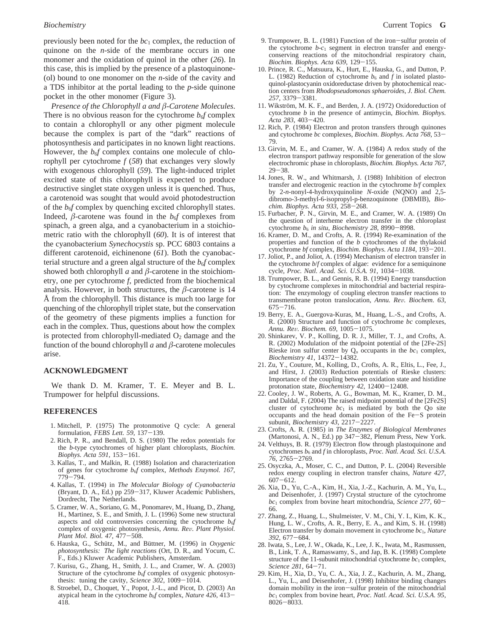previously been noted for the *bc*<sup>1</sup> complex, the reduction of quinone on the *n*-side of the membrane occurs in one monomer and the oxidation of quinol in the other (*26*). In this case, this is implied by the presence of a plastoquinone- (ol) bound to one monomer on the *n*-side of the cavity and a TDS inhibitor at the portal leading to the *p*-side quinone pocket in the other monomer (Figure 3).

*Presence of the Chlorophyll a and â-Carotene Molecules*. There is no obvious reason for the cytochrome  $b<sub>6</sub>f$  complex to contain a chlorophyll or any other pigment molecule because the complex is part of the "dark" reactions of photosynthesis and participates in no known light reactions. However, the  $b<sub>6</sub>f$  complex contains one molecule of chlorophyll per cytochrome *f* (*58*) that exchanges very slowly with exogenous chlorophyll (*59*). The light-induced triplet excited state of this chlorophyll is expected to produce destructive singlet state oxygen unless it is quenched. Thus, a carotenoid was sought that would avoid photodestruction of the  $b_6f$  complex by quenching excited chlorophyll states. Indeed,  $\beta$ -carotene was found in the  $b_{\rm f}$  complexes from spinach, a green alga, and a cyanobacterium in a stoichiometric ratio with the chlorophyll (*60*). It is of interest that the cyanobacterium *Synechocystis* sp. PCC 6803 contains a different carotenoid, eichinenone (*61*). Both the cyanobacterial structure and a green algal structure of the  $b<sub>6</sub>f$  complex showed both chlorophyll  $a$  and  $\beta$ -carotene in the stoichiometry, one per cytochrome *f*, predicted from the biochemical analysis. However, in both structures, the  $\beta$ -carotene is 14 Å from the chlorophyll. This distance is much too large for quenching of the chlorophyll triplet state, but the conservation of the geometry of these pigments implies a function for each in the complex. Thus, questions about how the complex is protected from chlorophyll-mediated  $O_2$  damage and the function of the bound chlorophyll  $a$  and  $\beta$ -carotene molecules arise.

## **ACKNOWLEDGMENT**

We thank D. M. Kramer, T. E. Meyer and B. L. Trumpower for helpful discussions.

#### **REFERENCES**

- 1. Mitchell, P. (1975) The protonmotive Q cycle: A general formulation, *FEBS Lett. 59*, 137-139.
- 2. Rich, P. R., and Bendall, D. S. (1980) The redox potentials for the *b*-type cytochromes of higher plant chloroplasts, *Biochim. Biophys. Acta 591*, 153-161.
- 3. Kallas, T., and Malkin, R. (1988) Isolation and characterization of genes for cytochrome  $b<sub>6</sub>f$  complex, *Methods Enzymol.* 167, <sup>779</sup>-794.
- 4. Kallas, T. (1994) in *The Molecular Biology of Cyanobacteria* (Bryant, D. A., Ed.) pp 259-317, Kluwer Academic Publishers, Dordrecht, The Netherlands.
- 5. Cramer, W. A., Soriano, G. M., Ponomarev, M., Huang, D., Zhang, H., Martinez, S. E., and Smith, J. L. (1996) Some new structural aspects and old controversies concerning the cytochrome  $b<sub>6</sub>f$ complex of oxygenic photosynthesis, *Annu. Rev. Plant Physiol. Plant Mol. Biol. 47*, 477-508.
- 6. Hauska, G., Schütz, M., and Büttner, M. (1996) in *Oxygenic photosynthesis: The light reactions* (Ort, D. R., and Yocum, C. F., Eds.) Kluwer Academic Publishers, Amsterdam.
- 7. Kurisu, G., Zhang, H., Smith, J. L., and Cramer, W. A. (2003) Structure of the cytochrome  $b_6f$  complex of oxygenic photosynthesis: tuning the cavity, *Science 302*, 1009-1014.
- 8. Stroebel, D., Choquet, Y., Popot, J.-L., and Picot, D. (2003) An atypical heam in the cytochrome  $b<sub>6</sub>f$  complex, *Nature* 426, 413– 418.
- 9. Trumpower, B. L. (1981) Function of the iron-sulfur protein of the cytochrome *b*-*c*<sup>1</sup> segment in electron transfer and energyconserving reactions of the mitochondrial respiratory chain, *Biochim. Biophys. Acta 639*, 129-155.
- 10. Prince, R. C., Matsuura, K., Hurt, E., Hauska, G., and Dutton, P. L. (1982) Reduction of cytochrome  $b<sub>6</sub>$  and  $f$  in isolated plastoquinol-plastocyanin oxidoreductase driven by photochemical reaction centers from *Rhodopseudomonas sphaeroides*, *J. Biol. Chem. <sup>257</sup>*, 3379-3381.
- 11. Wikström, M. K. F., and Berden, J. A. (1972) Oxidoreduction of cytochrome *b* in the presence of antimycin, *Biochim. Biophys. Acta 283*, 403-420.
- 12. Rich, P. (1984) Electron and proton transfers through quinones and cytochrome *bc* complexes, *Biochim. Biophys. Acta 768*, 53- 79.
- 13. Girvin, M. E., and Cramer, W. A. (1984) A redox study of the electron transport pathway responsible for generation of the slow electrochromic phase in chloroplasts, *Biochim. Biophys. Acta 767*,
- <sup>29</sup>-38. 14. Jones, R. W., and Whitmarsh, J. (1988) Inhibition of electron transfer and electrogenic reaction in the cytochrome *b/f* complex by 2-*n*-nonyl-4-hydroxyquinoline *N*-oxide (NQNO) and 2,5 dibromo-3-methyl-6-isopropyl-p-benzoquinone (DBMIB), *Biochim. Biophys. Acta 933*, 258-268.
- 15. Furbacher, P. N., Girvin, M. E., and Cramer, W. A. (1989) On the question of interheme electron transfer in the chloroplast cytochrome *<sup>b</sup>*<sup>6</sup> *in situ*, *Biochemistry 28*, 8990-8998.
- 16. Kramer, D. M., and Crofts, A. R. (1994) Re-examination of the properties and function of the *b* cytochromes of the thylakoid cytochrome *bf* complex, *Biochim. Biophys. Acta 1184*, 193-201.
- 17. Joliot, P., and Joliot, A. (1994) Mechanism of electron transfer in the cytochrome *b*/*f* complex of algae: evidence for a semiquinone cycle, *Proc. Natl. Acad. Sci. U.S.A. 91*, 1034-1038.
- 18. Trumpower, B. L., and Gennis, R. B. (1994) Energy transduction by cytochrome complexes in mitochondrial and bacterial respiration: The enzymology of coupling electron transfer reactions to transmembrane proton translocation, *Annu. Re*V*. Biochem. 63*,
- <sup>675</sup>-716. 19. Berry, E. A., Guergova-Kuras, M., Huang, L.-S., and Crofts, A. R. (2000) Structure and function of cytochrome *bc* complexes, *Annu. Re*V*. Biochem. 69*, 1005-1075.
- 20. Shinkarev, V. P., Kolling, D. R. J., Miller, T. J., and Crofts, A. R. (2002) Modulation of the midpoint potential of the [2Fe-2S] Rieske iron sulfur center by  $Q_0$  occupants in the  $bc_1$  complex, *Biochemistry 41*, 14372-14382.
- 21. Zu, Y., Couture, M., Kolling, D., Crofts, A. R., Eltis, L., Fee, J., and Hirst, J. (2003) Reduction potentials of Rieske clusters: Importance of the coupling between oxidation state and histidine protonation state, *Biochemistry 42*, 12400-12408.
- 22. Cooley, J. W., Roberts, A. G., Bowman, M. K., Kramer, D. M., and Daldal, F. (2004) The raised midpoint potential of the [2Fe2S] cluster of cytochrome  $bc_1$  is mediated by both the  $\overline{O}$  site occupants and the head domain position of the Fe-S protein subunit, *Biochemistry 43*, 2217-2227.
- 23. Crofts, A. R. (1985) in *The Enzymes of Biological Membranes* (Martonosi, A. N., Ed.) pp 347-382, Plenum Press, New York.
- 24. Velthuys, B. R. (1979) Electron flow through plastoquinone and cytochromes  $b_6$  and  $f$  in chloroplasts, *Proc. Natl. Acad. Sci. U.S.A.* 76, 2765 $-2769$ .
- *<sup>76</sup>*, 2765-2769. 25. Osyczka, A., Moser, C. C., and Dutton, P. L. (2004) Reversible redox energy coupling in electron transfer chains, *Nature 427*,
- <sup>607</sup>-612. 26. Xia, D., Yu, C.-A., Kim, H., Xia, J.-Z., Kachurin, A. M., Yu, L., and Deisenhofer, J. (1997) Crystal structure of the cytochrome *bc*<sup>1</sup> complex from bovine heart mitochondria, *Science 277*, 60- 66.
- 27. Zhang, Z., Huang, L., Shulmeister, V. M., Chi, Y. I., Kim, K. K., Hung, L. W., Crofts, A. R., Berry, E. A., and Kim, S. H. (1998) Electron transfer by domain movement in cytochrome *bc*1, *Nature <sup>392</sup>*, 677-684.
- 28. Iwata, S., Lee, J. W., Okada, K., Lee, J. K., Iwata, M., Rasmussen, B., Link, T. A., Ramaswamy, S., and Jap, B. K. (1998) Complete structure of the 11-subunit mitochondrial cytochrome *bc*<sub>1</sub> complex, *Science 281*, 64–71. *Science 281*, 64-71. 29. Kim, H., Xia, D., Yu, C. A., Xia, J. Z., Kachurin, A. M., Zhang,
- L., Yu, L., and Deisenhofer, J. (1998) Inhibitor binding changes domain mobility in the iron-sulfur protein of the mitochondrial *bc*<sup>1</sup> complex from bovine heart, *Proc. Natl. Acad. Sci. U.S.A. 95*, <sup>8026</sup>-8033.